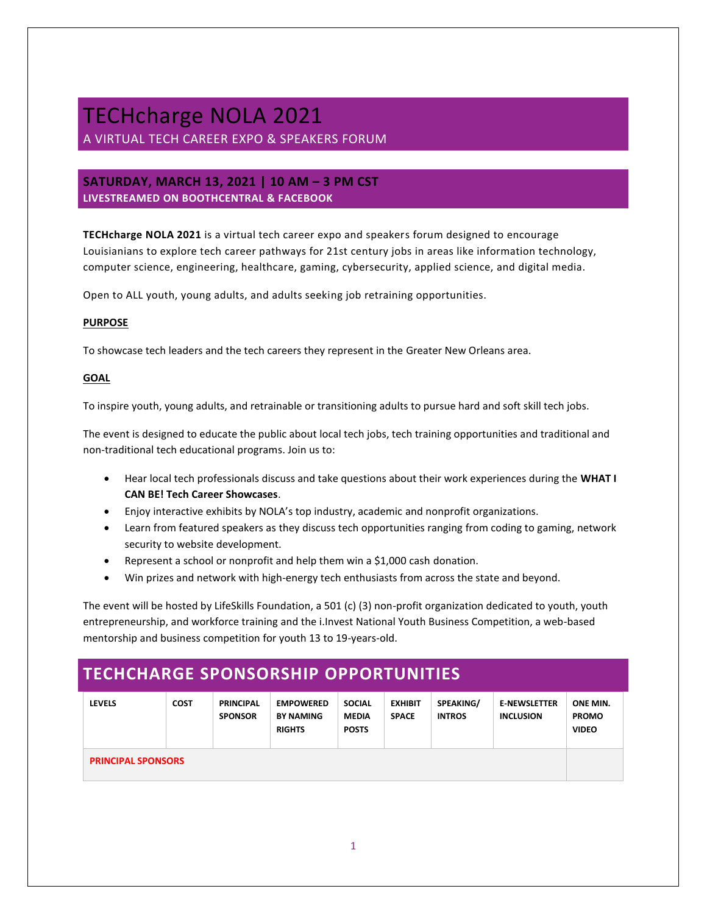## TECHcharge NOLA 2021 A VIRTUAL TECH CAREER EXPO & SPEAKERS FORUM

## **SATURDAY, MARCH 13, 2021 | 10 AM – 3 PM CST LIVESTREAMED ON BOOTHCENTRAL & FACEBOOK**

**TECHcharge NOLA 2021** is a virtual tech career expo and speakers forum designed to encourage Louisianians to explore tech career pathways for 21st century jobs in areas like information technology, computer science, engineering, healthcare, gaming, cybersecurity, applied science, and digital media.

Open to ALL youth, young adults, and adults seeking job retraining opportunities.

## **PURPOSE**

To showcase tech leaders and the tech careers they represent in the Greater New Orleans area.

### **GOAL**

To inspire youth, young adults, and retrainable or transitioning adults to pursue hard and soft skill tech jobs.

The event is designed to educate the public about local tech jobs, tech training opportunities and traditional and non-traditional tech educational programs. Join us to:

- Hear local tech professionals discuss and take questions about their work experiences during the **WHAT I CAN BE! Tech Career Showcases**.
- Enjoy interactive exhibits by NOLA's top industry, academic and nonprofit organizations.
- Learn from featured speakers as they discuss tech opportunities ranging from coding to gaming, network security to website development.
- Represent a school or nonprofit and help them win a \$1,000 cash donation.
- Win prizes and network with high-energy tech enthusiasts from across the state and beyond.

The event will be hosted by LifeSkills Foundation, a 501 (c) (3) non-profit organization dedicated to youth, youth entrepreneurship, and workforce training and the i.Invest National Youth Business Competition, a web-based mentorship and business competition for youth 13 to 19-years-old.

## **TECHCHARGE SPONSORSHIP OPPORTUNITIES**

| <b>LEVELS</b>             | <b>COST</b> | <b>PRINCIPAL</b><br><b>SPONSOR</b> | <b>EMPOWERED</b><br><b>BY NAMING</b><br><b>RIGHTS</b> | <b>SOCIAL</b><br><b>MEDIA</b><br><b>POSTS</b> | <b>EXHIBIT</b><br><b>SPACE</b> | SPEAKING/<br><b>INTROS</b> | <b>E-NEWSLETTER</b><br><b>INCLUSION</b> | ONE MIN.<br><b>PROMO</b><br><b>VIDEO</b> |
|---------------------------|-------------|------------------------------------|-------------------------------------------------------|-----------------------------------------------|--------------------------------|----------------------------|-----------------------------------------|------------------------------------------|
| <b>PRINCIPAL SPONSORS</b> |             |                                    |                                                       |                                               |                                |                            |                                         |                                          |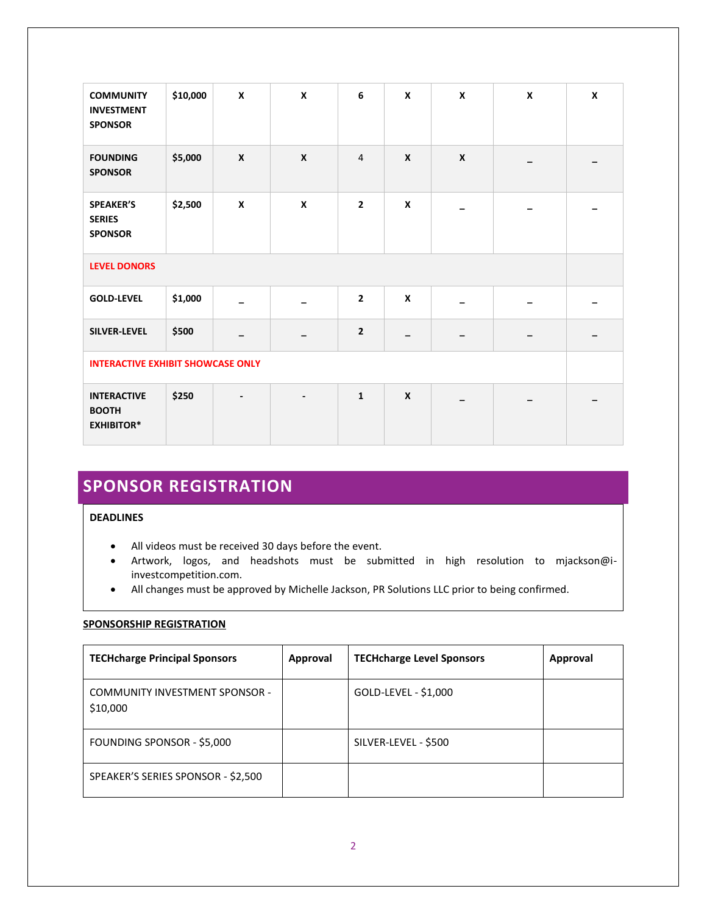| <b>COMMUNITY</b><br><b>INVESTMENT</b><br><b>SPONSOR</b> | \$10,000 | $\pmb{\mathsf{X}}$ | $\boldsymbol{x}$          | 6              | X                | $\boldsymbol{x}$ | $\pmb{\mathsf{x}}$ | X |
|---------------------------------------------------------|----------|--------------------|---------------------------|----------------|------------------|------------------|--------------------|---|
| <b>FOUNDING</b><br><b>SPONSOR</b>                       | \$5,000  | X                  | $\boldsymbol{\mathsf{x}}$ | 4              | $\boldsymbol{X}$ | $\boldsymbol{x}$ |                    |   |
| <b>SPEAKER'S</b><br><b>SERIES</b><br><b>SPONSOR</b>     | \$2,500  | $\pmb{\mathsf{x}}$ | $\pmb{\mathsf{x}}$        | $\mathbf{2}$   | $\boldsymbol{x}$ |                  |                    |   |
| <b>LEVEL DONORS</b>                                     |          |                    |                           |                |                  |                  |                    |   |
| <b>GOLD-LEVEL</b>                                       | \$1,000  |                    | $\overline{\phantom{0}}$  | $\mathbf{2}$   | X                |                  |                    |   |
| <b>SILVER-LEVEL</b>                                     | \$500    |                    |                           | $\overline{2}$ |                  |                  |                    |   |
| <b>INTERACTIVE EXHIBIT SHOWCASE ONLY</b>                |          |                    |                           |                |                  |                  |                    |   |
| <b>INTERACTIVE</b><br><b>BOOTH</b><br><b>EXHIBITOR*</b> | \$250    |                    | $\overline{\phantom{a}}$  | $\mathbf{1}$   | $\boldsymbol{x}$ |                  |                    |   |

# **SPONSOR REGISTRATION**

## **DEADLINES**

- All videos must be received 30 days before the event.
- Artwork, logos, and headshots must be submitted in high resolution to mjackson@iinvestcompetition.com.
- All changes must be approved by Michelle Jackson, PR Solutions LLC prior to being confirmed.

## **SPONSORSHIP REGISTRATION**

| <b>TECHcharge Principal Sponsors</b>              | Approval | <b>TECHcharge Level Sponsors</b> | Approval |
|---------------------------------------------------|----------|----------------------------------|----------|
| <b>COMMUNITY INVESTMENT SPONSOR -</b><br>\$10,000 |          | GOLD-LEVEL - \$1,000             |          |
| FOUNDING SPONSOR - \$5,000                        |          | SILVER-LEVEL - \$500             |          |
| SPEAKER'S SERIES SPONSOR - \$2,500                |          |                                  |          |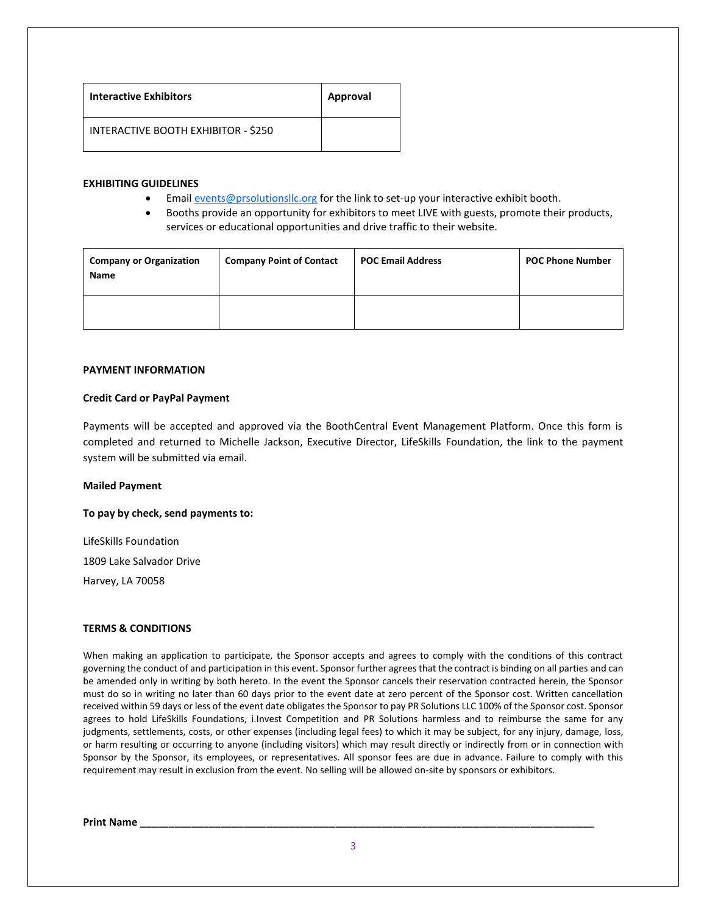| <b>Interactive Exhibitors</b>       | <b>Approval</b> |
|-------------------------------------|-----------------|
| INTERACTIVE BOOTH EXHIBITOR - \$250 |                 |

### **EXHIBITING GUIDELINES**

- Emai[l events@prsolutionsllc.org](mailto:events@prsolutionsllc.org) for the link to set-up your interactive exhibit booth.
- Booths provide an opportunity for exhibitors to meet LIVE with guests, promote their products, services or educational opportunities and drive traffic to their website.

| <b>Company or Organization</b><br><b>Name</b> | <b>Company Point of Contact</b> | <b>POC Email Address</b> | <b>POC Phone Number</b> |
|-----------------------------------------------|---------------------------------|--------------------------|-------------------------|
|                                               |                                 |                          |                         |

### **PAYMENT INFORMATION**

### **Credit Card or PayPal Payment**

Payments will be accepted and approved via the BoothCentral Event Management Platform. Once this form is completed and returned to Michelle Jackson, Executive Director, LifeSkills Foundation, the link to the payment system will be submitted via email.

#### **Mailed Payment**

**To pay by check, send payments to:** 

LifeSkills Foundation

1809 Lake Salvador Drive

Harvey, LA 70058

## **TERMS & CONDITIONS**

When making an application to participate, the Sponsor accepts and agrees to comply with the conditions of this contract governing the conduct of and participation in this event. Sponsor further agrees that the contract is binding on all parties and can be amended only in writing by both hereto. In the event the Sponsor cancels their reservation contracted herein, the Sponsor must do so in writing no later than 60 days prior to the event date at zero percent of the Sponsor cost. Written cancellation received within 59 days or less of the event date obligates the Sponsor to pay PR Solutions LLC 100% of the Sponsor cost. Sponsor agrees to hold LifeSkills Foundations, i.Invest Competition and PR Solutions harmless and to reimburse the same for any judgments, settlements, costs, or other expenses (including legal fees) to which it may be subject, for any injury, damage, loss, or harm resulting or occurring to anyone (including visitors) which may result directly or indirectly from or in connection with Sponsor by the Sponsor, its employees, or representatives. All sponsor fees are due in advance. Failure to comply with this requirement may result in exclusion from the event. No selling will be allowed on-site by sponsors or exhibitors.

**Print Name \_\_\_\_\_\_\_\_\_\_\_\_\_\_\_\_\_\_\_\_\_\_\_\_\_\_\_\_\_\_\_\_\_\_\_\_\_\_\_\_\_\_\_\_\_\_\_\_\_\_\_\_\_\_\_\_\_\_\_\_\_\_\_\_\_\_\_\_\_\_\_\_\_\_\_\_\_\_\_**